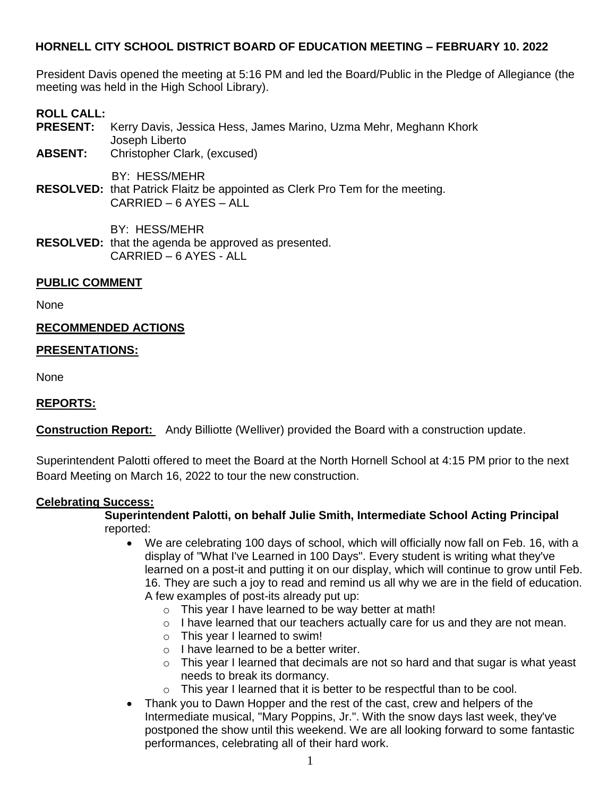President Davis opened the meeting at 5:16 PM and led the Board/Public in the Pledge of Allegiance (the meeting was held in the High School Library).

# **ROLL CALL:**

- **PRESENT:** Kerry Davis, Jessica Hess, James Marino, Uzma Mehr, Meghann Khork Joseph Liberto
- **ABSENT:** Christopher Clark, (excused)

BY: HESS/MEHR

**RESOLVED:** that Patrick Flaitz be appointed as Clerk Pro Tem for the meeting. CARRIED – 6 AYES – ALL

BY: HESS/MEHR

**RESOLVED:** that the agenda be approved as presented. CARRIED – 6 AYES - ALL

### **PUBLIC COMMENT**

None

### **RECOMMENDED ACTIONS**

### **PRESENTATIONS:**

None

## **REPORTS:**

**Construction Report:** Andy Billiotte (Welliver) provided the Board with a construction update.

Superintendent Palotti offered to meet the Board at the North Hornell School at 4:15 PM prior to the next Board Meeting on March 16, 2022 to tour the new construction.

### **Celebrating Success:**

### **Superintendent Palotti, on behalf Julie Smith, Intermediate School Acting Principal** reported:

- We are celebrating 100 days of school, which will officially now fall on Feb. 16, with a display of "What I've Learned in 100 Days". Every student is writing what they've learned on a post-it and putting it on our display, which will continue to grow until Feb. 16. They are such a joy to read and remind us all why we are in the field of education. A few examples of post-its already put up:
	- o This year I have learned to be way better at math!
	- $\circ$  I have learned that our teachers actually care for us and they are not mean.
	- o This year I learned to swim!
	- o I have learned to be a better writer.
	- $\circ$  This year I learned that decimals are not so hard and that sugar is what yeast needs to break its dormancy.
	- o This year I learned that it is better to be respectful than to be cool.
- Thank you to Dawn Hopper and the rest of the cast, crew and helpers of the Intermediate musical, "Mary Poppins, Jr.". With the snow days last week, they've postponed the show until this weekend. We are all looking forward to some fantastic performances, celebrating all of their hard work.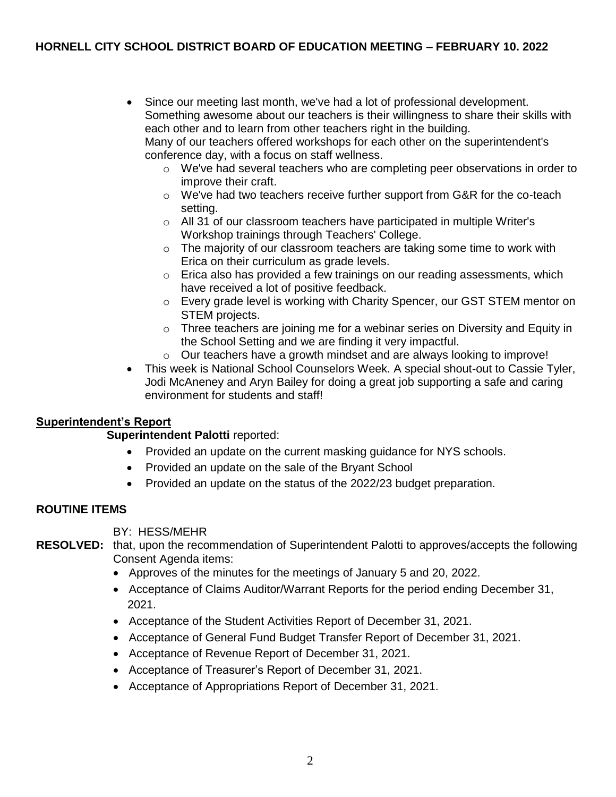- Since our meeting last month, we've had a lot of professional development. Something awesome about our teachers is their willingness to share their skills with each other and to learn from other teachers right in the building. Many of our teachers offered workshops for each other on the superintendent's conference day, with a focus on staff wellness.
	- $\circ$  We've had several teachers who are completing peer observations in order to improve their craft.
	- $\circ$  We've had two teachers receive further support from G&R for the co-teach setting.
	- o All 31 of our classroom teachers have participated in multiple Writer's Workshop trainings through Teachers' College.
	- $\circ$  The majority of our classroom teachers are taking some time to work with Erica on their curriculum as grade levels.
	- $\circ$  Erica also has provided a few trainings on our reading assessments, which have received a lot of positive feedback.
	- o Every grade level is working with Charity Spencer, our GST STEM mentor on STEM projects.
	- $\circ$  Three teachers are joining me for a webinar series on Diversity and Equity in the School Setting and we are finding it very impactful.
	- o Our teachers have a growth mindset and are always looking to improve!
- This week is National School Counselors Week. A special shout-out to Cassie Tyler, Jodi McAneney and Aryn Bailey for doing a great job supporting a safe and caring environment for students and staff!

## **Superintendent's Report**

## **Superintendent Palotti** reported:

- Provided an update on the current masking guidance for NYS schools.
- Provided an update on the sale of the Bryant School
- Provided an update on the status of the 2022/23 budget preparation.

## **ROUTINE ITEMS**

BY: HESS/MEHR

**RESOLVED:** that, upon the recommendation of Superintendent Palotti to approves/accepts the following Consent Agenda items:

- Approves of the minutes for the meetings of January 5 and 20, 2022.
- Acceptance of Claims Auditor/Warrant Reports for the period ending December 31, 2021.
- Acceptance of the Student Activities Report of December 31, 2021.
- Acceptance of General Fund Budget Transfer Report of December 31, 2021.
- Acceptance of Revenue Report of December 31, 2021.
- Acceptance of Treasurer's Report of December 31, 2021.
- Acceptance of Appropriations Report of December 31, 2021.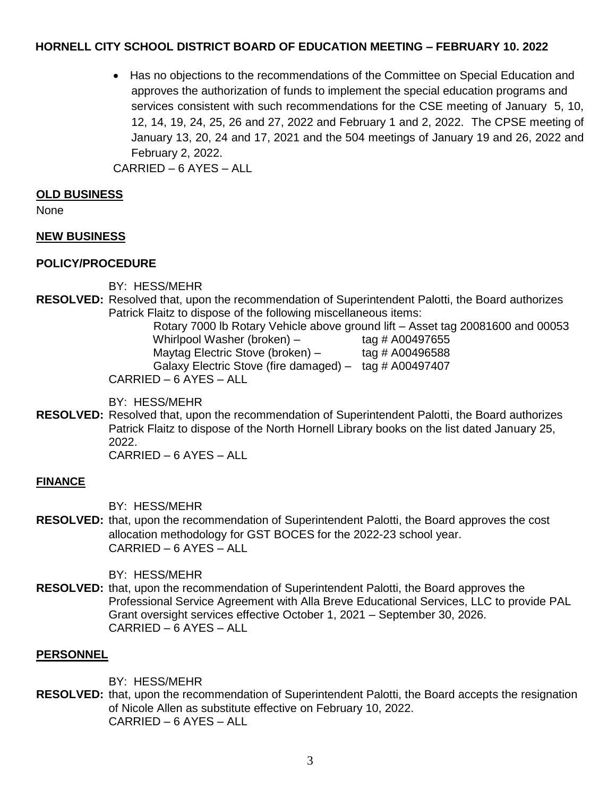Has no objections to the recommendations of the Committee on Special Education and approves the authorization of funds to implement the special education programs and services consistent with such recommendations for the CSE meeting of January 5, 10, 12, 14, 19, 24, 25, 26 and 27, 2022 and February 1 and 2, 2022. The CPSE meeting of January 13, 20, 24 and 17, 2021 and the 504 meetings of January 19 and 26, 2022 and February 2, 2022.

CARRIED – 6 AYES – ALL

### **OLD BUSINESS**

None

### **NEW BUSINESS**

### **POLICY/PROCEDURE**

BY: HESS/MEHR

**RESOLVED:** Resolved that, upon the recommendation of Superintendent Palotti, the Board authorizes Patrick Flaitz to dispose of the following miscellaneous items:

 Rotary 7000 lb Rotary Vehicle above ground lift – Asset tag 20081600 and 00053 Whirlpool Washer (broken)  $-$  tag # A00497655 Maytag Electric Stove (broken)  $-$  tag # A00496588 Galaxy Electric Stove (fire damaged) – tag # A00497407 CARRIED – 6 AYES – ALL

BY: HESS/MEHR

**RESOLVED:** Resolved that, upon the recommendation of Superintendent Palotti, the Board authorizes Patrick Flaitz to dispose of the North Hornell Library books on the list dated January 25, 2022.

CARRIED – 6 AYES – ALL

## **FINANCE**

BY: HESS/MEHR

**RESOLVED:** that, upon the recommendation of Superintendent Palotti, the Board approves the cost allocation methodology for GST BOCES for the 2022-23 school year. CARRIED – 6 AYES – ALL

BY: HESS/MEHR

**RESOLVED:** that, upon the recommendation of Superintendent Palotti, the Board approves the Professional Service Agreement with Alla Breve Educational Services, LLC to provide PAL Grant oversight services effective October 1, 2021 – September 30, 2026. CARRIED – 6 AYES – ALL

### **PERSONNEL**

BY: HESS/MEHR

**RESOLVED:** that, upon the recommendation of Superintendent Palotti, the Board accepts the resignation of Nicole Allen as substitute effective on February 10, 2022. CARRIED – 6 AYES – ALL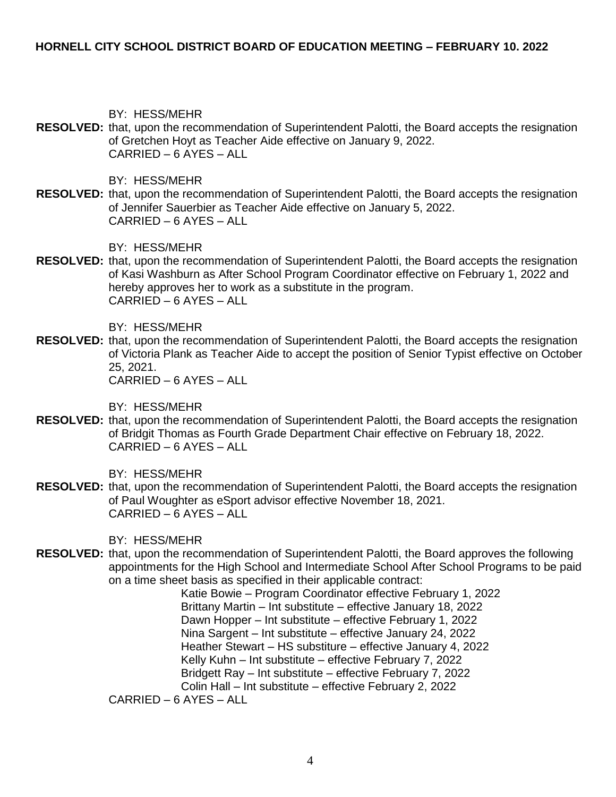BY: HESS/MEHR

**RESOLVED:** that, upon the recommendation of Superintendent Palotti, the Board accepts the resignation of Gretchen Hoyt as Teacher Aide effective on January 9, 2022. CARRIED – 6 AYES – ALL

BY: HESS/MEHR

**RESOLVED:** that, upon the recommendation of Superintendent Palotti, the Board accepts the resignation of Jennifer Sauerbier as Teacher Aide effective on January 5, 2022. CARRIED – 6 AYES – ALL

BY: HESS/MEHR

**RESOLVED:** that, upon the recommendation of Superintendent Palotti, the Board accepts the resignation of Kasi Washburn as After School Program Coordinator effective on February 1, 2022 and hereby approves her to work as a substitute in the program. CARRIED – 6 AYES – ALL

BY: HESS/MEHR

**RESOLVED:** that, upon the recommendation of Superintendent Palotti, the Board accepts the resignation of Victoria Plank as Teacher Aide to accept the position of Senior Typist effective on October 25, 2021. CARRIED – 6 AYES – ALL

BY: HESS/MEHR

**RESOLVED:** that, upon the recommendation of Superintendent Palotti, the Board accepts the resignation of Bridgit Thomas as Fourth Grade Department Chair effective on February 18, 2022. CARRIED – 6 AYES – ALL

BY: HESS/MEHR

**RESOLVED:** that, upon the recommendation of Superintendent Palotti, the Board accepts the resignation of Paul Woughter as eSport advisor effective November 18, 2021. CARRIED – 6 AYES – ALL

BY: HESS/MEHR

**RESOLVED:** that, upon the recommendation of Superintendent Palotti, the Board approves the following appointments for the High School and Intermediate School After School Programs to be paid on a time sheet basis as specified in their applicable contract:

> Katie Bowie – Program Coordinator effective February 1, 2022 Brittany Martin – Int substitute – effective January 18, 2022 Dawn Hopper – Int substitute – effective February 1, 2022 Nina Sargent – Int substitute – effective January 24, 2022 Heather Stewart – HS substiture – effective January 4, 2022 Kelly Kuhn – Int substitute – effective February 7, 2022 Bridgett Ray – Int substitute – effective February 7, 2022 Colin Hall – Int substitute – effective February 2, 2022

CARRIED – 6 AYES – ALL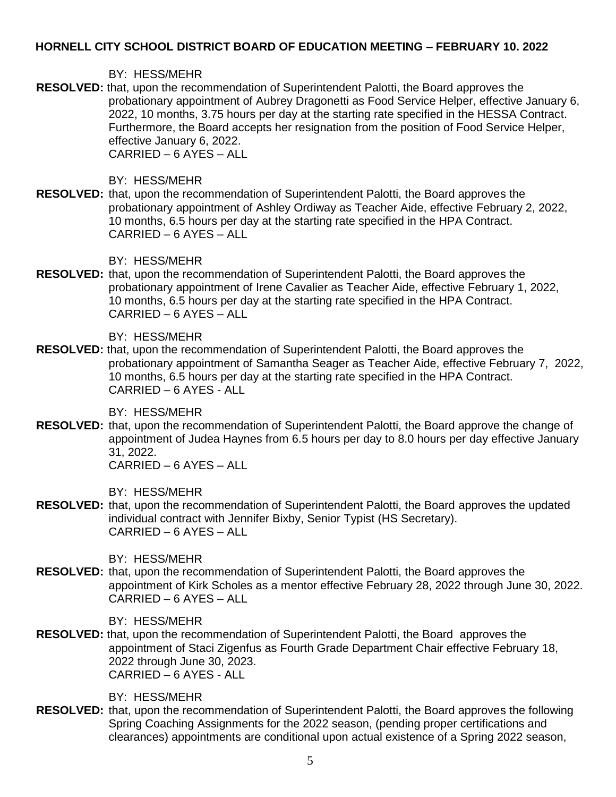### BY: HESS/MEHR

**RESOLVED:** that, upon the recommendation of Superintendent Palotti, the Board approves the probationary appointment of Aubrey Dragonetti as Food Service Helper, effective January 6, 2022, 10 months, 3.75 hours per day at the starting rate specified in the HESSA Contract. Furthermore, the Board accepts her resignation from the position of Food Service Helper, effective January 6, 2022. CARRIED – 6 AYES – ALL

BY: HESS/MEHR

**RESOLVED:** that, upon the recommendation of Superintendent Palotti, the Board approves the probationary appointment of Ashley Ordiway as Teacher Aide, effective February 2, 2022, 10 months, 6.5 hours per day at the starting rate specified in the HPA Contract. CARRIED – 6 AYES – ALL

BY: HESS/MEHR

**RESOLVED:** that, upon the recommendation of Superintendent Palotti, the Board approves the probationary appointment of Irene Cavalier as Teacher Aide, effective February 1, 2022, 10 months, 6.5 hours per day at the starting rate specified in the HPA Contract. CARRIED – 6 AYES – ALL

BY: HESS/MEHR

**RESOLVED:** that, upon the recommendation of Superintendent Palotti, the Board approves the probationary appointment of Samantha Seager as Teacher Aide, effective February 7, 2022, 10 months, 6.5 hours per day at the starting rate specified in the HPA Contract. CARRIED – 6 AYES - ALL

BY: HESS/MEHR

**RESOLVED:** that, upon the recommendation of Superintendent Palotti, the Board approve the change of appointment of Judea Haynes from 6.5 hours per day to 8.0 hours per day effective January 31, 2022. CARRIED – 6 AYES – ALL

BY: HESS/MEHR

**RESOLVED:** that, upon the recommendation of Superintendent Palotti, the Board approves the updated individual contract with Jennifer Bixby, Senior Typist (HS Secretary). CARRIED – 6 AYES – ALL

BY: HESS/MEHR

**RESOLVED:** that, upon the recommendation of Superintendent Palotti, the Board approves the appointment of Kirk Scholes as a mentor effective February 28, 2022 through June 30, 2022. CARRIED – 6 AYES – ALL

BY: HESS/MEHR

**RESOLVED:** that, upon the recommendation of Superintendent Palotti, the Board approves the appointment of Staci Zigenfus as Fourth Grade Department Chair effective February 18, 2022 through June 30, 2023. CARRIED – 6 AYES - ALL

BY: HESS/MEHR

**RESOLVED:** that, upon the recommendation of Superintendent Palotti, the Board approves the following Spring Coaching Assignments for the 2022 season, (pending proper certifications and clearances) appointments are conditional upon actual existence of a Spring 2022 season,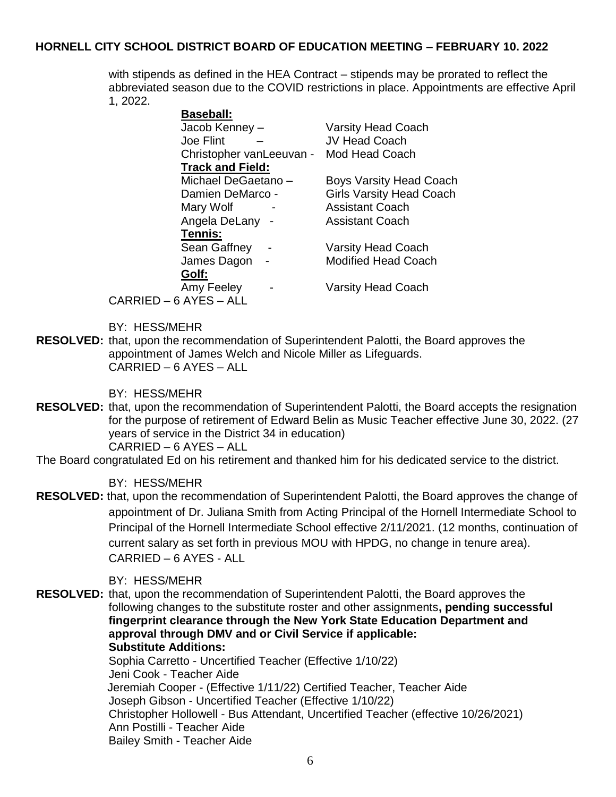with stipends as defined in the HEA Contract – stipends may be prorated to reflect the abbreviated season due to the COVID restrictions in place. Appointments are effective April 1, 2022.

| <b>Baseball:</b>         |                                 |
|--------------------------|---------------------------------|
| Jacob Kenney -           | <b>Varsity Head Coach</b>       |
| Joe Flint                | <b>JV Head Coach</b>            |
| Christopher vanLeeuvan - | Mod Head Coach                  |
| <b>Track and Field:</b>  |                                 |
| Michael DeGaetano-       | <b>Boys Varsity Head Coach</b>  |
| Damien DeMarco -         | <b>Girls Varsity Head Coach</b> |
| Mary Wolf                | <b>Assistant Coach</b>          |
| Angela DeLany -          | <b>Assistant Coach</b>          |
| Tennis:                  |                                 |
| Sean Gaffney             | <b>Varsity Head Coach</b>       |
| James Dagon              | <b>Modified Head Coach</b>      |
| Golf:                    |                                 |
| Amy Feeley               | <b>Varsity Head Coach</b>       |
| CARRIED - 6 AYES - ALL   |                                 |

BY: HESS/MEHR

**RESOLVED:** that, upon the recommendation of Superintendent Palotti, the Board approves the appointment of James Welch and Nicole Miller as Lifeguards. CARRIED – 6 AYES – ALL

BY: HESS/MEHR

- **RESOLVED:** that, upon the recommendation of Superintendent Palotti, the Board accepts the resignation for the purpose of retirement of Edward Belin as Music Teacher effective June 30, 2022. (27 years of service in the District 34 in education) CARRIED – 6 AYES – ALL
- The Board congratulated Ed on his retirement and thanked him for his dedicated service to the district.

BY: HESS/MEHR

**RESOLVED:** that, upon the recommendation of Superintendent Palotti, the Board approves the change of appointment of Dr. Juliana Smith from Acting Principal of the Hornell Intermediate School to Principal of the Hornell Intermediate School effective 2/11/2021. (12 months, continuation of current salary as set forth in previous MOU with HPDG, no change in tenure area). CARRIED – 6 AYES - ALL

### BY: HESS/MEHR

**RESOLVED:** that, upon the recommendation of Superintendent Palotti, the Board approves the following changes to the substitute roster and other assignments**, pending successful fingerprint clearance through the New York State Education Department and approval through DMV and or Civil Service if applicable: Substitute Additions:** 

> Sophia Carretto - Uncertified Teacher (Effective 1/10/22) Jeni Cook - Teacher Aide Jeremiah Cooper - (Effective 1/11/22) Certified Teacher, Teacher Aide Joseph Gibson - Uncertified Teacher (Effective 1/10/22) Christopher Hollowell - Bus Attendant, Uncertified Teacher (effective 10/26/2021) Ann Postilli - Teacher Aide Bailey Smith - Teacher Aide